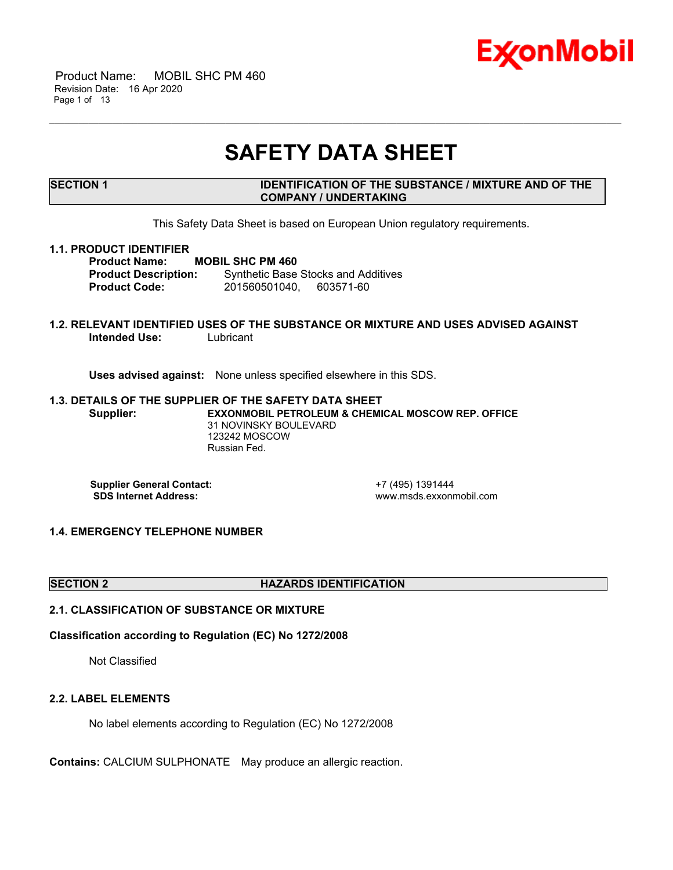

 Product Name: MOBIL SHC PM 460 Revision Date: 16 Apr 2020 Page 1 of 13

# **SAFETY DATA SHEET**

\_\_\_\_\_\_\_\_\_\_\_\_\_\_\_\_\_\_\_\_\_\_\_\_\_\_\_\_\_\_\_\_\_\_\_\_\_\_\_\_\_\_\_\_\_\_\_\_\_\_\_\_\_\_\_\_\_\_\_\_\_\_\_\_\_\_\_\_\_\_\_\_\_\_\_\_\_\_\_\_\_\_\_\_\_\_\_\_\_\_\_\_\_\_\_\_\_\_\_\_\_\_\_\_\_\_\_\_\_\_\_\_\_\_\_\_\_

# **SECTION 1 IDENTIFICATION OF THE SUBSTANCE / MIXTURE AND OF THE COMPANY / UNDERTAKING**

This Safety Data Sheet is based on European Union regulatory requirements.

#### **1.1. PRODUCT IDENTIFIER**

**Product Name: MOBIL SHC PM 460 Product Description:** Synthetic Base Stocks and Additives **Product Code:** 201560501040, 603571-60

### **1.2. RELEVANT IDENTIFIED USES OF THE SUBSTANCE OR MIXTURE AND USES ADVISED AGAINST Intended Use:** Lubricant

**Uses advised against:** None unless specified elsewhere in this SDS.

#### **1.3. DETAILS OF THE SUPPLIER OF THE SAFETY DATA SHEET Supplier: EXXONMOBIL PETROLEUM & CHEMICAL MOSCOW REP. OFFICE** 31 NOVINSKY BOULEVARD 123242 MOSCOW Russian Fed.

**Supplier General Contact:** +7 (495) 1391444<br> **SDS Internet Address:** + +7 (495) www.msds.exxonr

 **SDS Internet Address:** www.msds.exxonmobil.com

# **1.4. EMERGENCY TELEPHONE NUMBER**

#### **SECTION 2 HAZARDS IDENTIFICATION**

# **2.1. CLASSIFICATION OF SUBSTANCE OR MIXTURE**

# **Classification according to Regulation (EC) No 1272/2008**

Not Classified

#### **2.2. LABEL ELEMENTS**

No label elements according to Regulation (EC) No 1272/2008

**Contains:** CALCIUM SULPHONATE May produce an allergic reaction.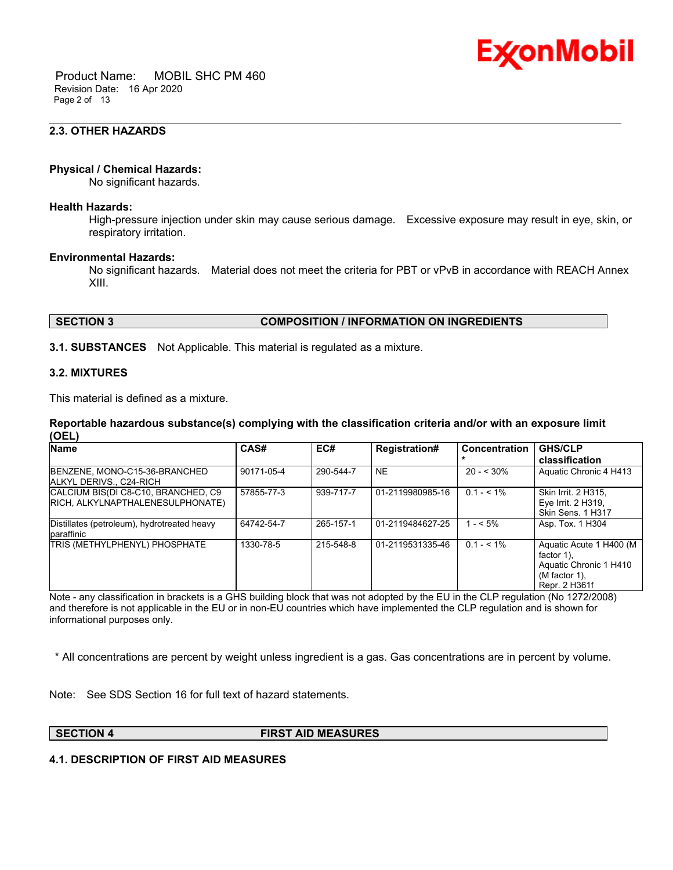

 Product Name: MOBIL SHC PM 460 Revision Date: 16 Apr 2020 Page 2 of 13

# **2.3. OTHER HAZARDS**

# **Physical / Chemical Hazards:**

No significant hazards.

#### **Health Hazards:**

High-pressure injection under skin may cause serious damage. Excessive exposure may result in eye, skin, or respiratory irritation.

\_\_\_\_\_\_\_\_\_\_\_\_\_\_\_\_\_\_\_\_\_\_\_\_\_\_\_\_\_\_\_\_\_\_\_\_\_\_\_\_\_\_\_\_\_\_\_\_\_\_\_\_\_\_\_\_\_\_\_\_\_\_\_\_\_\_\_\_\_\_\_\_\_\_\_\_\_\_\_\_\_\_\_\_\_\_\_\_\_\_\_\_\_\_\_\_\_\_\_\_\_\_\_\_\_\_\_\_\_\_\_\_\_\_\_\_\_

#### **Environmental Hazards:**

No significant hazards. Material does not meet the criteria for PBT or vPvB in accordance with REACH Annex XIII.

# **SECTION 3 COMPOSITION / INFORMATION ON INGREDIENTS**

**3.1. SUBSTANCES** Not Applicable. This material is regulated as a mixture.

#### **3.2. MIXTURES**

This material is defined as a mixture.

### **Reportable hazardous substance(s) complying with the classification criteria and/or with an exposure limit (OEL)**

| <b>Name</b>                                                             | CAS#       | EC#       | <b>Registration#</b> | <b>Concentration</b> | <b>GHS/CLP</b><br>classification                                                                     |
|-------------------------------------------------------------------------|------------|-----------|----------------------|----------------------|------------------------------------------------------------------------------------------------------|
| BENZENE, MONO-C15-36-BRANCHED<br>ALKYL DERIVS C24-RICH                  | 90171-05-4 | 290-544-7 | <b>NE</b>            | $20 - 530%$          | Aquatic Chronic 4 H413                                                                               |
| CALCIUM BIS(DI C8-C10, BRANCHED, C9<br>RICH, ALKYLNAPTHALENESULPHONATE) | 57855-77-3 | 939-717-7 | 01-2119980985-16     | $0.1 - 5.1\%$        | Skin Irrit. 2 H315.<br>Eye Irrit. 2 H319,<br>Skin Sens. 1 H317                                       |
| Distillates (petroleum), hydrotreated heavy<br>paraffinic               | 64742-54-7 | 265-157-1 | 01-2119484627-25     | $1 - 5\%$            | Asp. Tox. 1 H304                                                                                     |
| <b>TRIS (METHYLPHENYL) PHOSPHATE</b>                                    | 1330-78-5  | 215-548-8 | 01-2119531335-46     | $0.1 - 5.1\%$        | Aguatic Acute 1 H400 (M<br>factor 1).<br>Aquatic Chronic 1 H410<br>$(M factor 1)$ ,<br>Repr. 2 H361f |

Note - any classification in brackets is a GHS building block that was not adopted by the EU in the CLP regulation (No 1272/2008) and therefore is not applicable in the EU or in non-EU countries which have implemented the CLP regulation and is shown for informational purposes only.

\* All concentrations are percent by weight unless ingredient is a gas. Gas concentrations are in percent by volume.

Note: See SDS Section 16 for full text of hazard statements.

**SECTION 4 FIRST AID MEASURES**

# **4.1. DESCRIPTION OF FIRST AID MEASURES**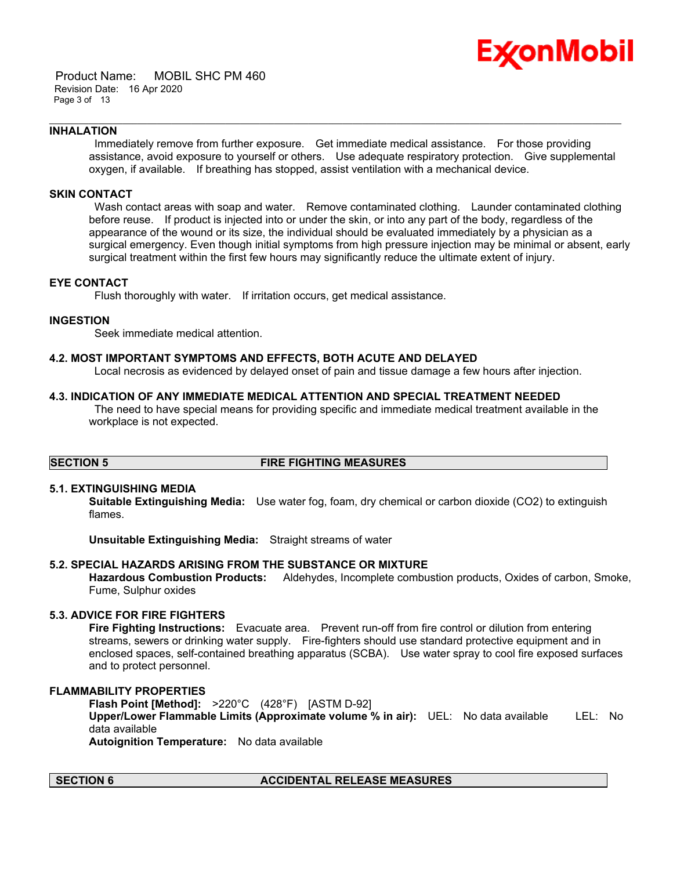

 Product Name: MOBIL SHC PM 460 Revision Date: 16 Apr 2020 Page 3 of 13

### **INHALATION**

 Immediately remove from further exposure. Get immediate medical assistance. For those providing assistance, avoid exposure to yourself or others. Use adequate respiratory protection. Give supplemental oxygen, if available. If breathing has stopped, assist ventilation with a mechanical device.

\_\_\_\_\_\_\_\_\_\_\_\_\_\_\_\_\_\_\_\_\_\_\_\_\_\_\_\_\_\_\_\_\_\_\_\_\_\_\_\_\_\_\_\_\_\_\_\_\_\_\_\_\_\_\_\_\_\_\_\_\_\_\_\_\_\_\_\_\_\_\_\_\_\_\_\_\_\_\_\_\_\_\_\_\_\_\_\_\_\_\_\_\_\_\_\_\_\_\_\_\_\_\_\_\_\_\_\_\_\_\_\_\_\_\_\_\_

#### **SKIN CONTACT**

Wash contact areas with soap and water. Remove contaminated clothing. Launder contaminated clothing before reuse. If product is injected into or under the skin, or into any part of the body, regardless of the appearance of the wound or its size, the individual should be evaluated immediately by a physician as a surgical emergency. Even though initial symptoms from high pressure injection may be minimal or absent, early surgical treatment within the first few hours may significantly reduce the ultimate extent of injury.

### **EYE CONTACT**

Flush thoroughly with water. If irritation occurs, get medical assistance.

# **INGESTION**

Seek immediate medical attention.

# **4.2. MOST IMPORTANT SYMPTOMS AND EFFECTS, BOTH ACUTE AND DELAYED**

Local necrosis as evidenced by delayed onset of pain and tissue damage a few hours after injection.

### **4.3. INDICATION OF ANY IMMEDIATE MEDICAL ATTENTION AND SPECIAL TREATMENT NEEDED**

 The need to have special means for providing specific and immediate medical treatment available in the workplace is not expected.

# **SECTION 5 FIRE FIGHTING MEASURES**

# **5.1. EXTINGUISHING MEDIA**

**Suitable Extinguishing Media:** Use water fog, foam, dry chemical or carbon dioxide (CO2) to extinguish flames.

**Unsuitable Extinguishing Media:** Straight streams of water

# **5.2. SPECIAL HAZARDS ARISING FROM THE SUBSTANCE OR MIXTURE**

**Hazardous Combustion Products:** Aldehydes, Incomplete combustion products, Oxides of carbon, Smoke, Fume, Sulphur oxides

# **5.3. ADVICE FOR FIRE FIGHTERS**

**Fire Fighting Instructions:** Evacuate area. Prevent run-off from fire control or dilution from entering streams, sewers or drinking water supply. Fire-fighters should use standard protective equipment and in enclosed spaces, self-contained breathing apparatus (SCBA). Use water spray to cool fire exposed surfaces and to protect personnel.

# **FLAMMABILITY PROPERTIES**

**Flash Point [Method]:** >220°C (428°F) [ASTM D-92] **Upper/Lower Flammable Limits (Approximate volume % in air):** UEL: No data available LEL: No data available **Autoignition Temperature:** No data available

# **SECTION 6 ACCIDENTAL RELEASE MEASURES**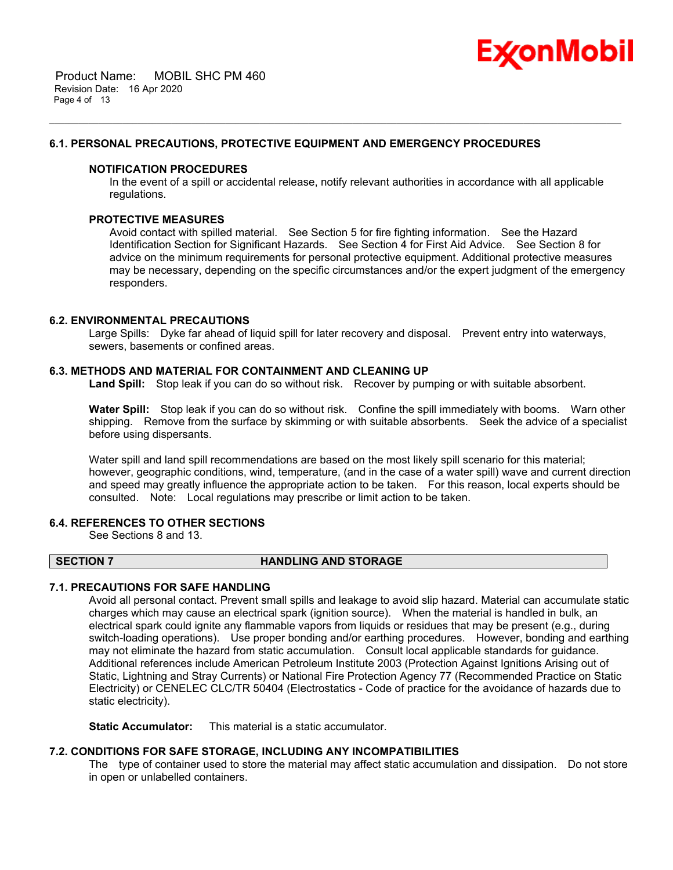

 Product Name: MOBIL SHC PM 460 Revision Date: 16 Apr 2020 Page 4 of 13

# **6.1. PERSONAL PRECAUTIONS, PROTECTIVE EQUIPMENT AND EMERGENCY PROCEDURES**

# **NOTIFICATION PROCEDURES**

In the event of a spill or accidental release, notify relevant authorities in accordance with all applicable regulations.

\_\_\_\_\_\_\_\_\_\_\_\_\_\_\_\_\_\_\_\_\_\_\_\_\_\_\_\_\_\_\_\_\_\_\_\_\_\_\_\_\_\_\_\_\_\_\_\_\_\_\_\_\_\_\_\_\_\_\_\_\_\_\_\_\_\_\_\_\_\_\_\_\_\_\_\_\_\_\_\_\_\_\_\_\_\_\_\_\_\_\_\_\_\_\_\_\_\_\_\_\_\_\_\_\_\_\_\_\_\_\_\_\_\_\_\_\_

# **PROTECTIVE MEASURES**

Avoid contact with spilled material. See Section 5 for fire fighting information. See the Hazard Identification Section for Significant Hazards. See Section 4 for First Aid Advice. See Section 8 for advice on the minimum requirements for personal protective equipment. Additional protective measures may be necessary, depending on the specific circumstances and/or the expert judgment of the emergency responders.

# **6.2. ENVIRONMENTAL PRECAUTIONS**

Large Spills: Dyke far ahead of liquid spill for later recovery and disposal. Prevent entry into waterways, sewers, basements or confined areas.

### **6.3. METHODS AND MATERIAL FOR CONTAINMENT AND CLEANING UP**

**Land Spill:** Stop leak if you can do so without risk. Recover by pumping or with suitable absorbent.

**Water Spill:** Stop leak if you can do so without risk. Confine the spill immediately with booms. Warn other shipping. Remove from the surface by skimming or with suitable absorbents. Seek the advice of a specialist before using dispersants.

Water spill and land spill recommendations are based on the most likely spill scenario for this material; however, geographic conditions, wind, temperature, (and in the case of a water spill) wave and current direction and speed may greatly influence the appropriate action to be taken. For this reason, local experts should be consulted. Note: Local regulations may prescribe or limit action to be taken.

# **6.4. REFERENCES TO OTHER SECTIONS**

See Sections 8 and 13.

# **SECTION 7 HANDLING AND STORAGE**

# **7.1. PRECAUTIONS FOR SAFE HANDLING**

Avoid all personal contact. Prevent small spills and leakage to avoid slip hazard. Material can accumulate static charges which may cause an electrical spark (ignition source). When the material is handled in bulk, an electrical spark could ignite any flammable vapors from liquids or residues that may be present (e.g., during switch-loading operations). Use proper bonding and/or earthing procedures. However, bonding and earthing may not eliminate the hazard from static accumulation. Consult local applicable standards for guidance. Additional references include American Petroleum Institute 2003 (Protection Against Ignitions Arising out of Static, Lightning and Stray Currents) or National Fire Protection Agency 77 (Recommended Practice on Static Electricity) or CENELEC CLC/TR 50404 (Electrostatics - Code of practice for the avoidance of hazards due to static electricity).

**Static Accumulator:** This material is a static accumulator.

# **7.2. CONDITIONS FOR SAFE STORAGE, INCLUDING ANY INCOMPATIBILITIES**

The type of container used to store the material may affect static accumulation and dissipation. Do not store in open or unlabelled containers.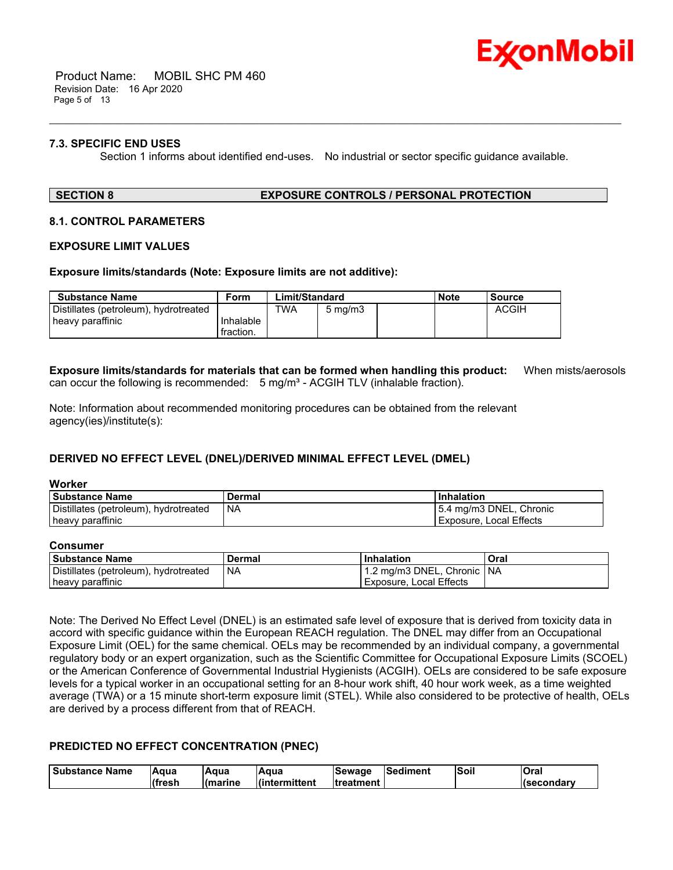

 Product Name: MOBIL SHC PM 460 Revision Date: 16 Apr 2020 Page 5 of 13

# **7.3. SPECIFIC END USES**

Section 1 informs about identified end-uses. No industrial or sector specific guidance available.

\_\_\_\_\_\_\_\_\_\_\_\_\_\_\_\_\_\_\_\_\_\_\_\_\_\_\_\_\_\_\_\_\_\_\_\_\_\_\_\_\_\_\_\_\_\_\_\_\_\_\_\_\_\_\_\_\_\_\_\_\_\_\_\_\_\_\_\_\_\_\_\_\_\_\_\_\_\_\_\_\_\_\_\_\_\_\_\_\_\_\_\_\_\_\_\_\_\_\_\_\_\_\_\_\_\_\_\_\_\_\_\_\_\_\_\_\_

#### **SECTION 8 EXPOSURE CONTROLS / PERSONAL PROTECTION**

# **8.1. CONTROL PARAMETERS**

#### **EXPOSURE LIMIT VALUES**

#### **Exposure limits/standards (Note: Exposure limits are not additive):**

| Substance Name                        | Form      | Limit/Standard |                  |  | <b>Note</b> | Source       |
|---------------------------------------|-----------|----------------|------------------|--|-------------|--------------|
| Distillates (petroleum), hydrotreated |           | TWA            | $5 \text{ mg/m}$ |  |             | <b>ACGIH</b> |
| heavy paraffinic                      | Inhalable |                |                  |  |             |              |
|                                       | fraction. |                |                  |  |             |              |

**Exposure limits/standards for materials that can be formed when handling this product:** When mists/aerosols can occur the following is recommended:  $5 \text{ mg/m}^3$  - ACGIH TLV (inhalable fraction).

Note: Information about recommended monitoring procedures can be obtained from the relevant agency(ies)/institute(s):

# **DERIVED NO EFFECT LEVEL (DNEL)/DERIVED MINIMAL EFFECT LEVEL (DMEL)**

#### **Worker**

| <b>Substance Name</b>                 | Dermal | Inhalation              |
|---------------------------------------|--------|-------------------------|
| Distillates (petroleum), hydrotreated | NA     | 5.4 mg/m3 DNEL, Chronic |
| heavy paraffinic                      |        | Exposure, Local Effects |

#### **Consumer**

| <b>Substance Name</b>                 | Dermal | Inhalation                    | Oral |
|---------------------------------------|--------|-------------------------------|------|
| Distillates (petroleum), hydrotreated | I NA   | 11.2 mg/m3 DNEL, Chronic   NA |      |
| heavy paraffinic                      |        | Exposure, Local Effects       |      |

Note: The Derived No Effect Level (DNEL) is an estimated safe level of exposure that is derived from toxicity data in accord with specific guidance within the European REACH regulation. The DNEL may differ from an Occupational Exposure Limit (OEL) for the same chemical. OELs may be recommended by an individual company, a governmental regulatory body or an expert organization, such as the Scientific Committee for Occupational Exposure Limits (SCOEL) or the American Conference of Governmental Industrial Hygienists (ACGIH). OELs are considered to be safe exposure levels for a typical worker in an occupational setting for an 8-hour work shift, 40 hour work week, as a time weighted average (TWA) or a 15 minute short-term exposure limit (STEL). While also considered to be protective of health, OELs are derived by a process different from that of REACH.

# **PREDICTED NO EFFECT CONCENTRATION (PNEC)**

| l Substance Name | lAɑua   | lAqua    | <b>A</b> qua   | <b>Sewage</b>     | <b>Sediment</b> | lSoil | <b>Oral</b>         |
|------------------|---------|----------|----------------|-------------------|-----------------|-------|---------------------|
|                  | lífresh | l(marine | l(intermittent | <b>Itreatment</b> |                 |       | <b>I</b> (secondar∨ |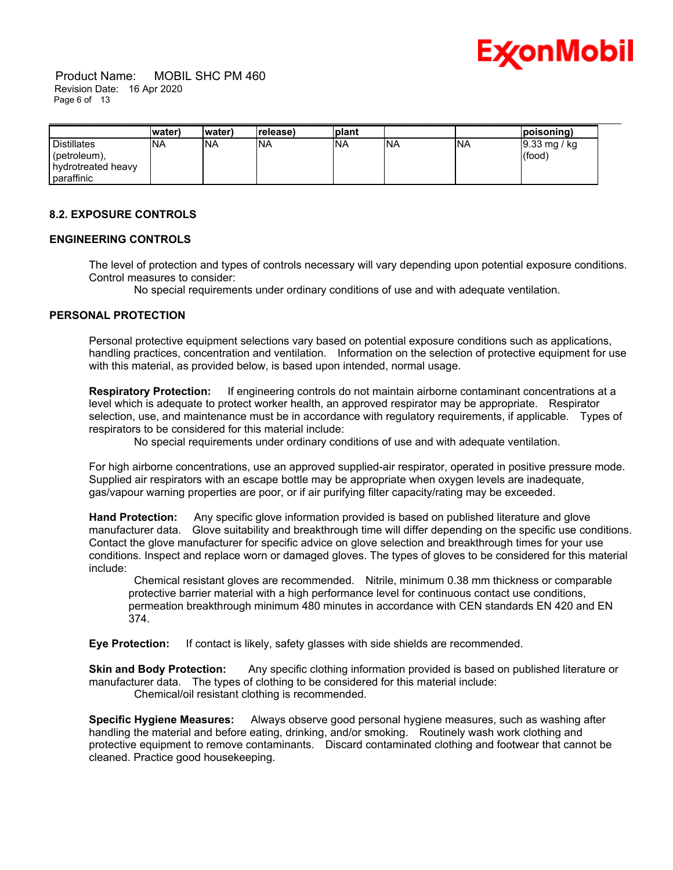

 Product Name: MOBIL SHC PM 460 Revision Date: 16 Apr 2020 Page 6 of 13

|                    | lwater) | (water     | (release   | <b>plant</b> |     |            | poisoning)                |
|--------------------|---------|------------|------------|--------------|-----|------------|---------------------------|
| Distillates        | INA     | <b>INA</b> | <b>INA</b> | <b>NA</b>    | INA | <b>INA</b> | $9.33 \,\mathrm{mg / kg}$ |
| (petroleum),       |         |            |            |              |     |            | (food)                    |
| hydrotreated heavy |         |            |            |              |     |            |                           |
| paraffinic         |         |            |            |              |     |            |                           |

# **8.2. EXPOSURE CONTROLS**

## **ENGINEERING CONTROLS**

The level of protection and types of controls necessary will vary depending upon potential exposure conditions. Control measures to consider:

No special requirements under ordinary conditions of use and with adequate ventilation.

# **PERSONAL PROTECTION**

Personal protective equipment selections vary based on potential exposure conditions such as applications, handling practices, concentration and ventilation. Information on the selection of protective equipment for use with this material, as provided below, is based upon intended, normal usage.

**Respiratory Protection:** If engineering controls do not maintain airborne contaminant concentrations at a level which is adequate to protect worker health, an approved respirator may be appropriate. Respirator selection, use, and maintenance must be in accordance with regulatory requirements, if applicable. Types of respirators to be considered for this material include:

No special requirements under ordinary conditions of use and with adequate ventilation.

For high airborne concentrations, use an approved supplied-air respirator, operated in positive pressure mode. Supplied air respirators with an escape bottle may be appropriate when oxygen levels are inadequate, gas/vapour warning properties are poor, or if air purifying filter capacity/rating may be exceeded.

**Hand Protection:** Any specific glove information provided is based on published literature and glove manufacturer data. Glove suitability and breakthrough time will differ depending on the specific use conditions. Contact the glove manufacturer for specific advice on glove selection and breakthrough times for your use conditions. Inspect and replace worn or damaged gloves. The types of gloves to be considered for this material include:

 Chemical resistant gloves are recommended. Nitrile, minimum 0.38 mm thickness or comparable protective barrier material with a high performance level for continuous contact use conditions, permeation breakthrough minimum 480 minutes in accordance with CEN standards EN 420 and EN 374.

**Eye Protection:** If contact is likely, safety glasses with side shields are recommended.

**Skin and Body Protection:** Any specific clothing information provided is based on published literature or manufacturer data. The types of clothing to be considered for this material include: Chemical/oil resistant clothing is recommended.

**Specific Hygiene Measures:** Always observe good personal hygiene measures, such as washing after handling the material and before eating, drinking, and/or smoking. Routinely wash work clothing and protective equipment to remove contaminants. Discard contaminated clothing and footwear that cannot be cleaned. Practice good housekeeping.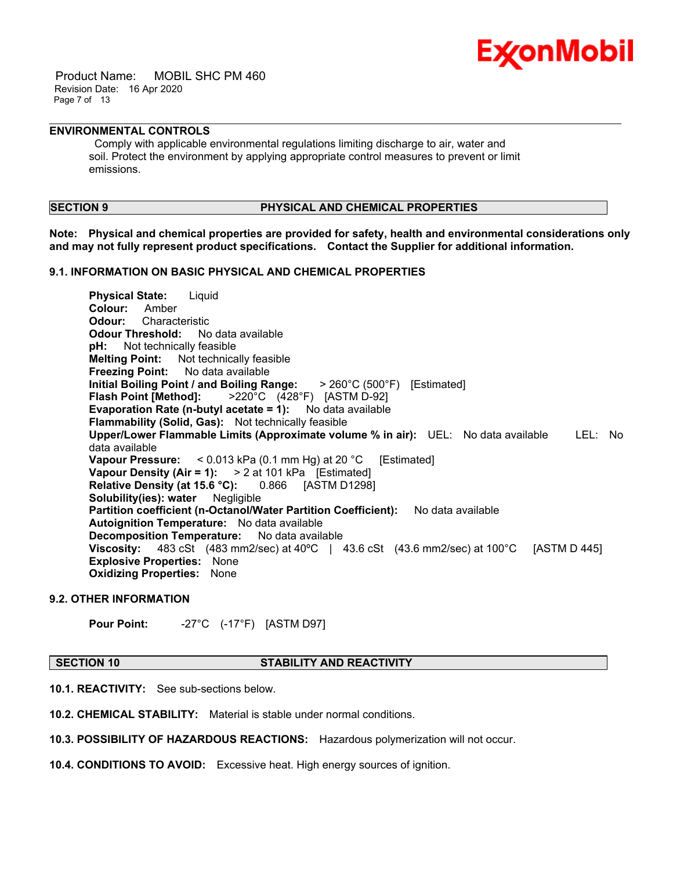

 Product Name: MOBIL SHC PM 460 Revision Date: 16 Apr 2020 Page 7 of 13

# **ENVIRONMENTAL CONTROLS**

 Comply with applicable environmental regulations limiting discharge to air, water and soil. Protect the environment by applying appropriate control measures to prevent or limit emissions.

# **SECTION 9 PHYSICAL AND CHEMICAL PROPERTIES**

**Note: Physical and chemical properties are provided for safety, health and environmental considerations only and may not fully represent product specifications. Contact the Supplier for additional information.**

\_\_\_\_\_\_\_\_\_\_\_\_\_\_\_\_\_\_\_\_\_\_\_\_\_\_\_\_\_\_\_\_\_\_\_\_\_\_\_\_\_\_\_\_\_\_\_\_\_\_\_\_\_\_\_\_\_\_\_\_\_\_\_\_\_\_\_\_\_\_\_\_\_\_\_\_\_\_\_\_\_\_\_\_\_\_\_\_\_\_\_\_\_\_\_\_\_\_\_\_\_\_\_\_\_\_\_\_\_\_\_\_\_\_\_\_\_

# **9.1. INFORMATION ON BASIC PHYSICAL AND CHEMICAL PROPERTIES**

**Physical State:** Liquid **Colour:** Amber **Odour:** Characteristic **Odour Threshold:** No data available **pH:** Not technically feasible **Melting Point:** Not technically feasible **Freezing Point:** No data available **Initial Boiling Point / and Boiling Range:** > 260°C (500°F) [Estimated] **Flash Point [Method]:** >220°C (428°F) [ASTM D-92] **Evaporation Rate (n-butyl acetate = 1):** No data available **Flammability (Solid, Gas):** Not technically feasible **Upper/Lower Flammable Limits (Approximate volume % in air):** UEL: No data available LEL: No data available **Vapour Pressure:** < 0.013 kPa (0.1 mm Hg) at 20 °C [Estimated] **Vapour Density (Air = 1):** > 2 at 101 kPa [Estimated] **Relative Density (at 15.6 °C):** 0.866 [ASTM D1298] **Solubility(ies): water** Negligible **Partition coefficient (n-Octanol/Water Partition Coefficient):** No data available **Autoignition Temperature:** No data available **Decomposition Temperature:** No data available **Viscosity:** 483 cSt (483 mm2/sec) at 40ºC | 43.6 cSt (43.6 mm2/sec) at 100°C [ASTM D 445] **Explosive Properties:** None **Oxidizing Properties:** None

# **9.2. OTHER INFORMATION**

**Pour Point:** -27°C (-17°F) [ASTM D97]

#### **SECTION 10 STABILITY AND REACTIVITY**

**10.1. REACTIVITY:** See sub-sections below.

**10.2. CHEMICAL STABILITY:** Material is stable under normal conditions.

**10.3. POSSIBILITY OF HAZARDOUS REACTIONS:** Hazardous polymerization will not occur.

**10.4. CONDITIONS TO AVOID:** Excessive heat. High energy sources of ignition.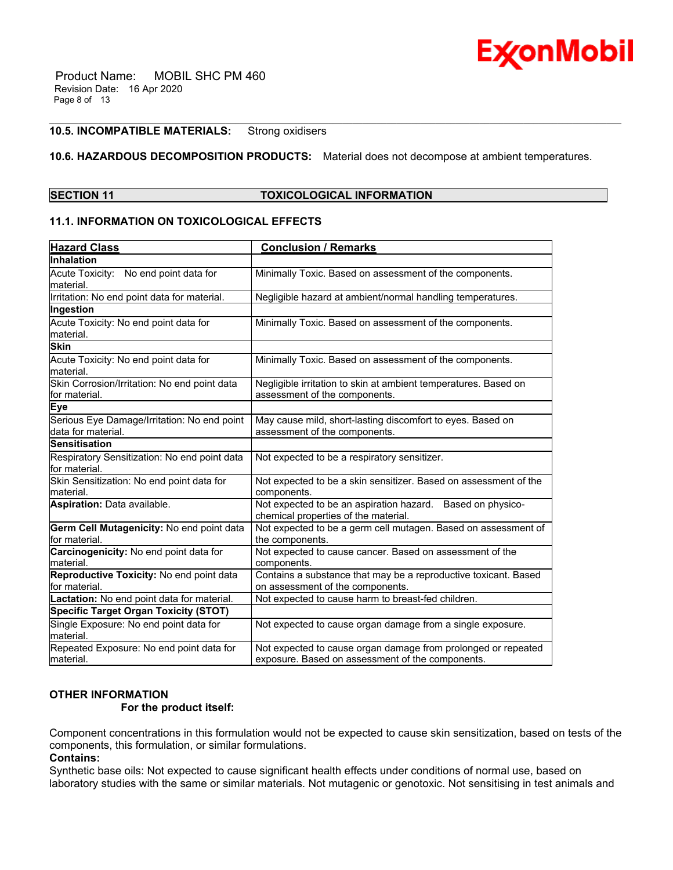

# **10.5. INCOMPATIBLE MATERIALS:** Strong oxidisers

# **10.6. HAZARDOUS DECOMPOSITION PRODUCTS:** Material does not decompose at ambient temperatures.

\_\_\_\_\_\_\_\_\_\_\_\_\_\_\_\_\_\_\_\_\_\_\_\_\_\_\_\_\_\_\_\_\_\_\_\_\_\_\_\_\_\_\_\_\_\_\_\_\_\_\_\_\_\_\_\_\_\_\_\_\_\_\_\_\_\_\_\_\_\_\_\_\_\_\_\_\_\_\_\_\_\_\_\_\_\_\_\_\_\_\_\_\_\_\_\_\_\_\_\_\_\_\_\_\_\_\_\_\_\_\_\_\_\_\_\_\_

| <b>SECTION 11</b> | <b>TOXICOLOGICAL INFORMATION</b> |
|-------------------|----------------------------------|
|-------------------|----------------------------------|

# **11.1. INFORMATION ON TOXICOLOGICAL EFFECTS**

| <b>Hazard Class</b>                                               | <b>Conclusion / Remarks</b>                                                                                       |
|-------------------------------------------------------------------|-------------------------------------------------------------------------------------------------------------------|
| Inhalation                                                        |                                                                                                                   |
| Acute Toxicity: No end point data for<br>material.                | Minimally Toxic. Based on assessment of the components.                                                           |
| Irritation: No end point data for material.                       | Negligible hazard at ambient/normal handling temperatures.                                                        |
| Ingestion                                                         |                                                                                                                   |
| Acute Toxicity: No end point data for<br>material.                | Minimally Toxic. Based on assessment of the components.                                                           |
| <b>Skin</b>                                                       |                                                                                                                   |
| Acute Toxicity: No end point data for<br>material.                | Minimally Toxic. Based on assessment of the components.                                                           |
| Skin Corrosion/Irritation: No end point data<br>for material.     | Negligible irritation to skin at ambient temperatures. Based on<br>assessment of the components.                  |
| <b>Eye</b>                                                        |                                                                                                                   |
| Serious Eye Damage/Irritation: No end point<br>data for material. | May cause mild, short-lasting discomfort to eyes. Based on<br>assessment of the components.                       |
| <b>Sensitisation</b>                                              |                                                                                                                   |
| Respiratory Sensitization: No end point data<br>for material.     | Not expected to be a respiratory sensitizer.                                                                      |
| Skin Sensitization: No end point data for<br>material.            | Not expected to be a skin sensitizer. Based on assessment of the<br>components.                                   |
| Aspiration: Data available.                                       | Not expected to be an aspiration hazard. Based on physico-<br>chemical properties of the material.                |
| Germ Cell Mutagenicity: No end point data<br>for material.        | Not expected to be a germ cell mutagen. Based on assessment of<br>the components.                                 |
| Carcinogenicity: No end point data for<br>material.               | Not expected to cause cancer. Based on assessment of the<br>components.                                           |
| Reproductive Toxicity: No end point data<br>for material.         | Contains a substance that may be a reproductive toxicant. Based<br>on assessment of the components.               |
| Lactation: No end point data for material.                        | Not expected to cause harm to breast-fed children.                                                                |
| <b>Specific Target Organ Toxicity (STOT)</b>                      |                                                                                                                   |
| Single Exposure: No end point data for<br>material.               | Not expected to cause organ damage from a single exposure.                                                        |
| Repeated Exposure: No end point data for<br>lmaterial.            | Not expected to cause organ damage from prolonged or repeated<br>exposure. Based on assessment of the components. |

# **OTHER INFORMATION**

# **For the product itself:**

Component concentrations in this formulation would not be expected to cause skin sensitization, based on tests of the components, this formulation, or similar formulations.

**Contains:**

Synthetic base oils: Not expected to cause significant health effects under conditions of normal use, based on laboratory studies with the same or similar materials. Not mutagenic or genotoxic. Not sensitising in test animals and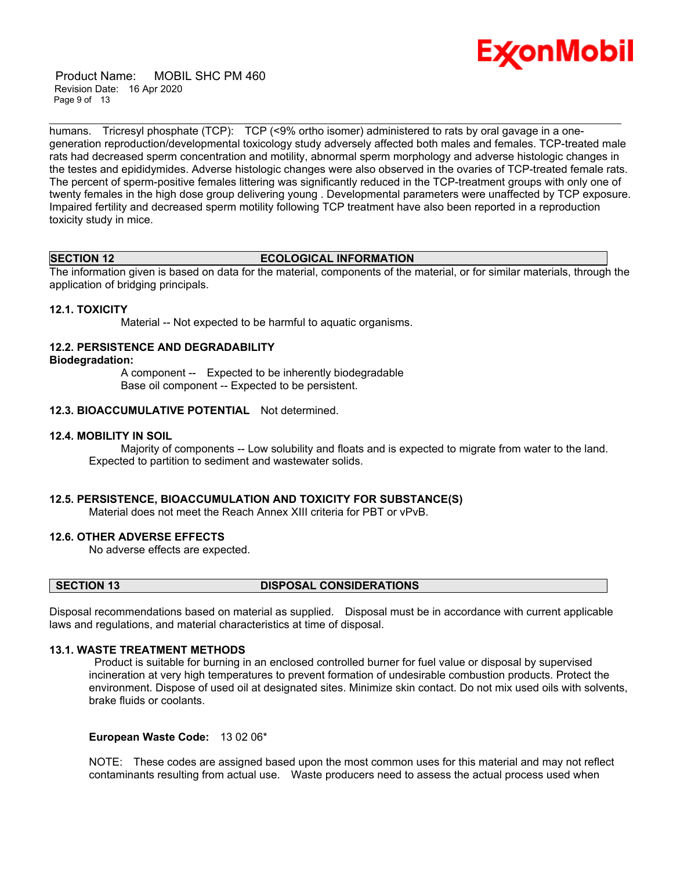

 Product Name: MOBIL SHC PM 460 Revision Date: 16 Apr 2020 Page 9 of 13

humans. Tricresyl phosphate (TCP): TCP (<9% ortho isomer) administered to rats by oral gavage in a onegeneration reproduction/developmental toxicology study adversely affected both males and females. TCP-treated male rats had decreased sperm concentration and motility, abnormal sperm morphology and adverse histologic changes in the testes and epididymides. Adverse histologic changes were also observed in the ovaries of TCP-treated female rats. The percent of sperm-positive females littering was significantly reduced in the TCP-treatment groups with only one of twenty females in the high dose group delivering young . Developmental parameters were unaffected by TCP exposure. Impaired fertility and decreased sperm motility following TCP treatment have also been reported in a reproduction toxicity study in mice.

\_\_\_\_\_\_\_\_\_\_\_\_\_\_\_\_\_\_\_\_\_\_\_\_\_\_\_\_\_\_\_\_\_\_\_\_\_\_\_\_\_\_\_\_\_\_\_\_\_\_\_\_\_\_\_\_\_\_\_\_\_\_\_\_\_\_\_\_\_\_\_\_\_\_\_\_\_\_\_\_\_\_\_\_\_\_\_\_\_\_\_\_\_\_\_\_\_\_\_\_\_\_\_\_\_\_\_\_\_\_\_\_\_\_\_\_\_

#### **SECTION 12 ECOLOGICAL INFORMATION**

The information given is based on data for the material, components of the material, or for similar materials, through the application of bridging principals.

### **12.1. TOXICITY**

Material -- Not expected to be harmful to aquatic organisms.

# **12.2. PERSISTENCE AND DEGRADABILITY**

#### **Biodegradation:**

 A component -- Expected to be inherently biodegradable Base oil component -- Expected to be persistent.

# **12.3. BIOACCUMULATIVE POTENTIAL** Not determined.

#### **12.4. MOBILITY IN SOIL**

 Majority of components -- Low solubility and floats and is expected to migrate from water to the land. Expected to partition to sediment and wastewater solids.

# **12.5. PERSISTENCE, BIOACCUMULATION AND TOXICITY FOR SUBSTANCE(S)**

Material does not meet the Reach Annex XIII criteria for PBT or vPvB.

# **12.6. OTHER ADVERSE EFFECTS**

No adverse effects are expected.

#### **SECTION 13 DISPOSAL CONSIDERATIONS**

Disposal recommendations based on material as supplied. Disposal must be in accordance with current applicable laws and regulations, and material characteristics at time of disposal.

# **13.1. WASTE TREATMENT METHODS**

 Product is suitable for burning in an enclosed controlled burner for fuel value or disposal by supervised incineration at very high temperatures to prevent formation of undesirable combustion products. Protect the environment. Dispose of used oil at designated sites. Minimize skin contact. Do not mix used oils with solvents, brake fluids or coolants.

### **European Waste Code:** 13 02 06\*

NOTE: These codes are assigned based upon the most common uses for this material and may not reflect contaminants resulting from actual use. Waste producers need to assess the actual process used when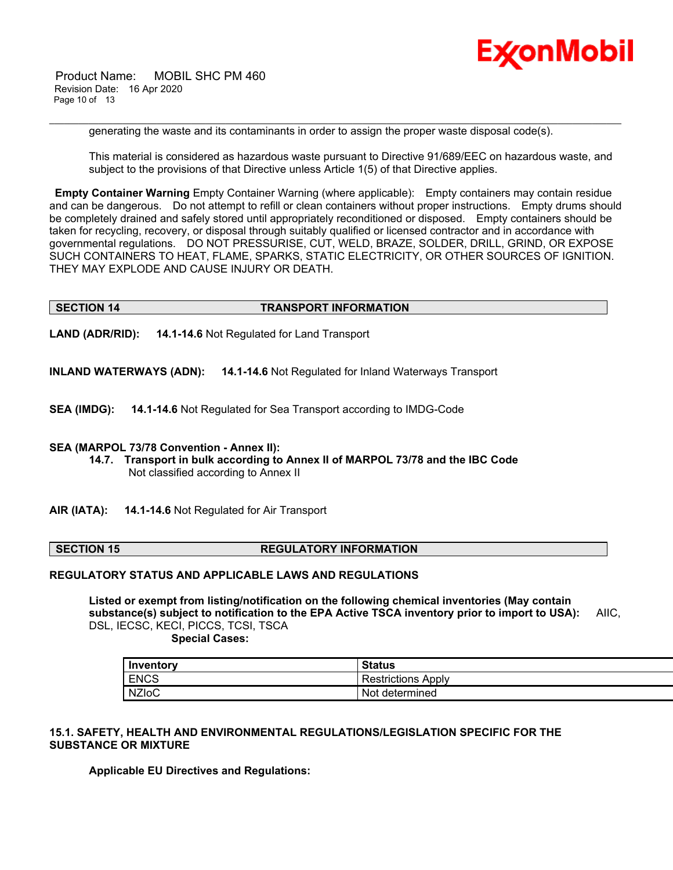

 Product Name: MOBIL SHC PM 460 Revision Date: 16 Apr 2020 Page 10 of 13

generating the waste and its contaminants in order to assign the proper waste disposal code(s).

\_\_\_\_\_\_\_\_\_\_\_\_\_\_\_\_\_\_\_\_\_\_\_\_\_\_\_\_\_\_\_\_\_\_\_\_\_\_\_\_\_\_\_\_\_\_\_\_\_\_\_\_\_\_\_\_\_\_\_\_\_\_\_\_\_\_\_\_\_\_\_\_\_\_\_\_\_\_\_\_\_\_\_\_\_\_\_\_\_\_\_\_\_\_\_\_\_\_\_\_\_\_\_\_\_\_\_\_\_\_\_\_\_\_\_\_\_

This material is considered as hazardous waste pursuant to Directive 91/689/EEC on hazardous waste, and subject to the provisions of that Directive unless Article 1(5) of that Directive applies.

**Empty Container Warning** Empty Container Warning (where applicable): Empty containers may contain residue and can be dangerous. Do not attempt to refill or clean containers without proper instructions. Empty drums should be completely drained and safely stored until appropriately reconditioned or disposed. Empty containers should be taken for recycling, recovery, or disposal through suitably qualified or licensed contractor and in accordance with governmental regulations. DO NOT PRESSURISE, CUT, WELD, BRAZE, SOLDER, DRILL, GRIND, OR EXPOSE SUCH CONTAINERS TO HEAT, FLAME, SPARKS, STATIC ELECTRICITY, OR OTHER SOURCES OF IGNITION. THEY MAY EXPLODE AND CAUSE INJURY OR DEATH.

# **SECTION 14 TRANSPORT INFORMATION**

**LAND (ADR/RID): 14.1-14.6** Not Regulated for Land Transport

**INLAND WATERWAYS (ADN): 14.1-14.6** Not Regulated for Inland Waterways Transport

**SEA (IMDG): 14.1-14.6** Not Regulated for Sea Transport according to IMDG-Code

#### **SEA (MARPOL 73/78 Convention - Annex II):**

- **14.7. Transport in bulk according to Annex II of MARPOL 73/78 and the IBC Code** Not classified according to Annex II
- **AIR (IATA): 14.1-14.6** Not Regulated for Air Transport

### **SECTION 15 REGULATORY INFORMATION**

### **REGULATORY STATUS AND APPLICABLE LAWS AND REGULATIONS**

**Listed or exempt from listing/notification on the following chemical inventories (May contain substance(s) subject to notification to the EPA Active TSCA inventory prior to import to USA):** AIIC, DSL, IECSC, KECI, PICCS, TCSI, TSCA

 **Special Cases:**

| Inventory    | <b>Status</b>             |
|--------------|---------------------------|
| <b>ENCS</b>  | <b>Restrictions Apply</b> |
| <b>NZIOC</b> | Not determined            |

# **15.1. SAFETY, HEALTH AND ENVIRONMENTAL REGULATIONS/LEGISLATION SPECIFIC FOR THE SUBSTANCE OR MIXTURE**

**Applicable EU Directives and Regulations:**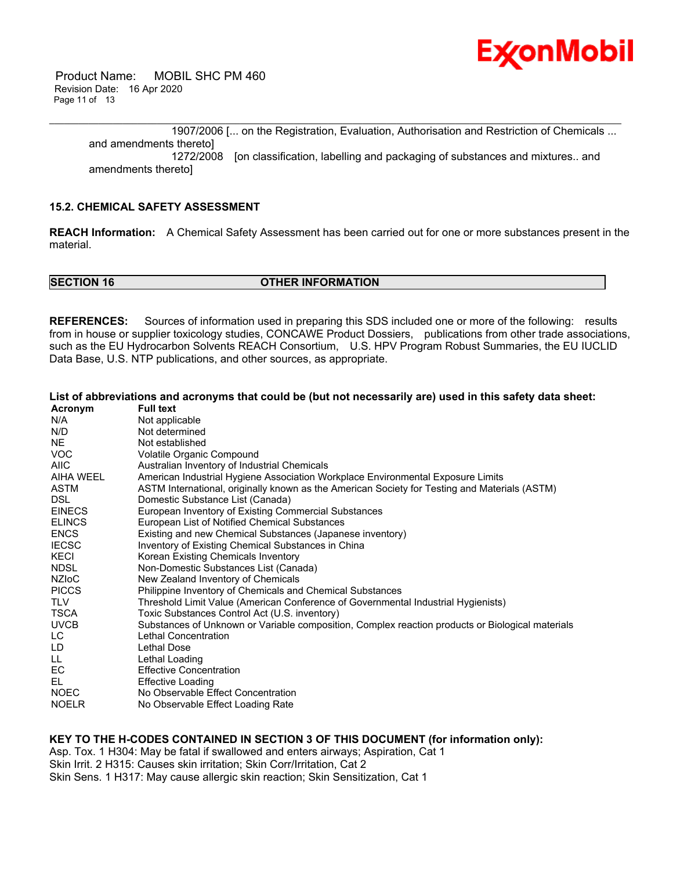

 Product Name: MOBIL SHC PM 460 Revision Date: 16 Apr 2020 Page 11 of 13

\_\_\_\_\_\_\_\_\_\_\_\_\_\_\_\_\_\_\_\_\_\_\_\_\_\_\_\_\_\_\_\_\_\_\_\_\_\_\_\_\_\_\_\_\_\_\_\_\_\_\_\_\_\_\_\_\_\_\_\_\_\_\_\_\_\_\_\_\_\_\_\_\_\_\_\_\_\_\_\_\_\_\_\_\_\_\_\_\_\_\_\_\_\_\_\_\_\_\_\_\_\_\_\_\_\_\_\_\_\_\_\_\_\_\_\_\_ 1907/2006 [... on the Registration, Evaluation, Authorisation and Restriction of Chemicals ... and amendments thereto] 1272/2008 [on classification, labelling and packaging of substances and mixtures.. and amendments thereto]

# **15.2. CHEMICAL SAFETY ASSESSMENT**

**REACH Information:** A Chemical Safety Assessment has been carried out for one or more substances present in the material.

**SECTION 16 OTHER INFORMATION** 

**REFERENCES:** Sources of information used in preparing this SDS included one or more of the following: results from in house or supplier toxicology studies, CONCAWE Product Dossiers, publications from other trade associations, such as the EU Hydrocarbon Solvents REACH Consortium, U.S. HPV Program Robust Summaries, the EU IUCLID Data Base, U.S. NTP publications, and other sources, as appropriate.

|               | List of abbreviations and acronyms that could be (but not necessarily are) used in this safety data sheet: |
|---------------|------------------------------------------------------------------------------------------------------------|
| Acronym       | <b>Full text</b>                                                                                           |
| N/A           | Not applicable                                                                                             |
| N/D           | Not determined                                                                                             |
| <b>NE</b>     | Not established                                                                                            |
| <b>VOC</b>    | Volatile Organic Compound                                                                                  |
| <b>AIIC</b>   | Australian Inventory of Industrial Chemicals                                                               |
| AIHA WEEL     | American Industrial Hygiene Association Workplace Environmental Exposure Limits                            |
| <b>ASTM</b>   | ASTM International, originally known as the American Society for Testing and Materials (ASTM)              |
| <b>DSL</b>    | Domestic Substance List (Canada)                                                                           |
| <b>EINECS</b> | European Inventory of Existing Commercial Substances                                                       |
| <b>ELINCS</b> | European List of Notified Chemical Substances                                                              |
| <b>ENCS</b>   | Existing and new Chemical Substances (Japanese inventory)                                                  |
| <b>IECSC</b>  | Inventory of Existing Chemical Substances in China                                                         |
| KECI          | Korean Existing Chemicals Inventory                                                                        |
| <b>NDSL</b>   | Non-Domestic Substances List (Canada)                                                                      |
| <b>NZIOC</b>  | New Zealand Inventory of Chemicals                                                                         |
| <b>PICCS</b>  | Philippine Inventory of Chemicals and Chemical Substances                                                  |
| <b>TLV</b>    | Threshold Limit Value (American Conference of Governmental Industrial Hygienists)                          |
| TSCA          | Toxic Substances Control Act (U.S. inventory)                                                              |
| <b>UVCB</b>   | Substances of Unknown or Variable composition, Complex reaction products or Biological materials           |
| LC.           | Lethal Concentration                                                                                       |
| LD            | Lethal Dose                                                                                                |
| LL.           | Lethal Loading                                                                                             |
| EC.           | <b>Effective Concentration</b>                                                                             |
| EL            | <b>Effective Loading</b>                                                                                   |
| <b>NOEC</b>   | No Observable Effect Concentration                                                                         |
| <b>NOELR</b>  | No Observable Effect Loading Rate                                                                          |

# **KEY TO THE H-CODES CONTAINED IN SECTION 3 OF THIS DOCUMENT (for information only):**

Asp. Tox. 1 H304: May be fatal if swallowed and enters airways; Aspiration, Cat 1 Skin Irrit. 2 H315: Causes skin irritation; Skin Corr/Irritation, Cat 2 Skin Sens. 1 H317: May cause allergic skin reaction; Skin Sensitization, Cat 1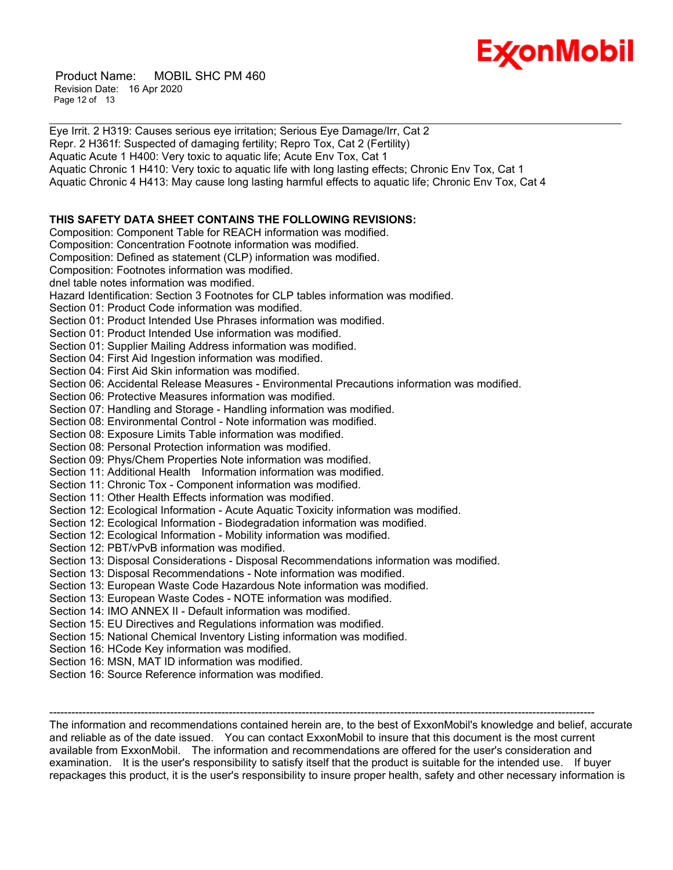

 Product Name: MOBIL SHC PM 460 Revision Date: 16 Apr 2020 Page 12 of 13

Eye Irrit. 2 H319: Causes serious eye irritation; Serious Eye Damage/Irr, Cat 2 Repr. 2 H361f: Suspected of damaging fertility; Repro Tox, Cat 2 (Fertility) Aquatic Acute 1 H400: Very toxic to aquatic life; Acute Env Tox, Cat 1 Aquatic Chronic 1 H410: Very toxic to aquatic life with long lasting effects; Chronic Env Tox, Cat 1 Aquatic Chronic 4 H413: May cause long lasting harmful effects to aquatic life; Chronic Env Tox, Cat 4 **THIS SAFETY DATA SHEET CONTAINS THE FOLLOWING REVISIONS:** Composition: Component Table for REACH information was modified. Composition: Concentration Footnote information was modified. Composition: Defined as statement (CLP) information was modified. Composition: Footnotes information was modified. dnel table notes information was modified. Hazard Identification: Section 3 Footnotes for CLP tables information was modified. Section 01: Product Code information was modified. Section 01: Product Intended Use Phrases information was modified. Section 01: Product Intended Use information was modified. Section 01: Supplier Mailing Address information was modified. Section 04: First Aid Ingestion information was modified. Section 04: First Aid Skin information was modified. Section 06: Accidental Release Measures - Environmental Precautions information was modified. Section 06: Protective Measures information was modified. Section 07: Handling and Storage - Handling information was modified. Section 08: Environmental Control - Note information was modified. Section 08: Exposure Limits Table information was modified. Section 08: Personal Protection information was modified. Section 09: Phys/Chem Properties Note information was modified. Section 11: Additional Health Information information was modified. Section 11: Chronic Tox - Component information was modified. Section 11: Other Health Effects information was modified. Section 12: Ecological Information - Acute Aquatic Toxicity information was modified. Section 12: Ecological Information - Biodegradation information was modified. Section 12: Ecological Information - Mobility information was modified. Section 12: PBT/vPvB information was modified. Section 13: Disposal Considerations - Disposal Recommendations information was modified. Section 13: Disposal Recommendations - Note information was modified. Section 13: European Waste Code Hazardous Note information was modified. Section 13: European Waste Codes - NOTE information was modified. Section 14: IMO ANNEX II - Default information was modified. Section 15: EU Directives and Regulations information was modified. Section 15: National Chemical Inventory Listing information was modified. Section 16: HCode Key information was modified. Section 16: MSN, MAT ID information was modified. Section 16: Source Reference information was modified.

\_\_\_\_\_\_\_\_\_\_\_\_\_\_\_\_\_\_\_\_\_\_\_\_\_\_\_\_\_\_\_\_\_\_\_\_\_\_\_\_\_\_\_\_\_\_\_\_\_\_\_\_\_\_\_\_\_\_\_\_\_\_\_\_\_\_\_\_\_\_\_\_\_\_\_\_\_\_\_\_\_\_\_\_\_\_\_\_\_\_\_\_\_\_\_\_\_\_\_\_\_\_\_\_\_\_\_\_\_\_\_\_\_\_\_\_\_

The information and recommendations contained herein are, to the best of ExxonMobil's knowledge and belief, accurate and reliable as of the date issued. You can contact ExxonMobil to insure that this document is the most current available from ExxonMobil. The information and recommendations are offered for the user's consideration and examination. It is the user's responsibility to satisfy itself that the product is suitable for the intended use. If buyer repackages this product, it is the user's responsibility to insure proper health, safety and other necessary information is

-----------------------------------------------------------------------------------------------------------------------------------------------------